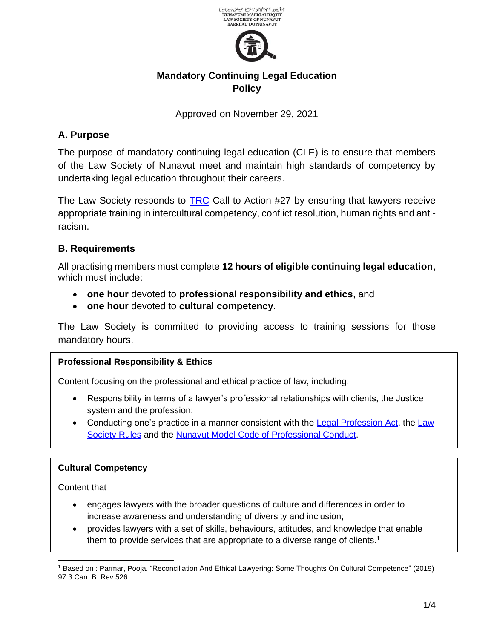

# **Mandatory Continuing Legal Education Policy**

Approved on November 29, 2021

# **A. Purpose**

The purpose of mandatory continuing legal education (CLE) is to ensure that members of the Law Society of Nunavut meet and maintain high standards of competency by undertaking legal education throughout their careers.

The Law Society responds to [TRC](https://www.lawsociety.nu.ca/sites/default/files/committees/Truth%20Reconciliation/TRC%20Calls_to_Action_English2.pdf) Call to Action #27 by ensuring that lawyers receive appropriate training in intercultural competency, conflict resolution, human rights and antiracism.

## **B. Requirements**

All practising members must complete **12 hours of eligible continuing legal education**, which must include:

- **one hour** devoted to **professional responsibility and ethics**, and
- **one hour** devoted to **cultural competency**.

The Law Society is committed to providing access to training sessions for those mandatory hours.

## **Professional Responsibility & Ethics**

Content focusing on the professional and ethical practice of law, including:

- Responsibility in terms of a lawyer's professional relationships with clients, the Justice system and the profession;
- Conducting one's practice in a manner consistent with the [Legal Profession Act,](https://www.lawsociety.nu.ca/sites/default/files/public/Consolidation%20of%20Legal%20Profession%20Act.pdf) the [Law](https://www.lawsociety.nu.ca/sites/default/files/website-general/LSN%20Consolidated%20Rules%20June%2024%5EJ%202021.pdf)  [Society Rules](https://www.lawsociety.nu.ca/sites/default/files/website-general/LSN%20Consolidated%20Rules%20June%2024%5EJ%202021.pdf) and the [Nunavut Model Code of Professional Conduct.](https://www.lawsociety.nu.ca/sites/default/files/NU%20Model%20Code%20of%20Conduct%20%20FINAL%20May%202016%20adopted%20Nov%207%202016.pdf)

#### **Cultural Competency**

Content that

- engages lawyers with the broader questions of culture and differences in order to increase awareness and understanding of diversity and inclusion;
- provides lawyers with a set of skills, behaviours, attitudes, and knowledge that enable them to provide services that are appropriate to a diverse range of clients.<sup>1</sup>

<sup>1</sup> Based on : Parmar, Pooja. "Reconciliation And Ethical Lawyering: Some Thoughts On Cultural Competence" (2019) 97:3 Can. B. Rev 526.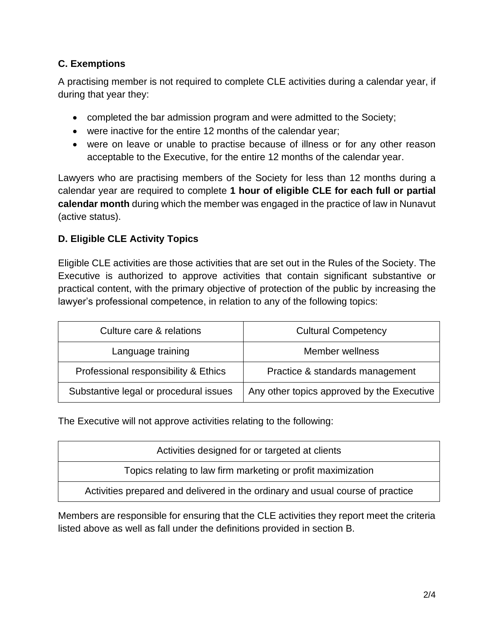## **C. Exemptions**

A practising member is not required to complete CLE activities during a calendar year, if during that year they:

- completed the bar admission program and were admitted to the Society;
- were inactive for the entire 12 months of the calendar year;
- were on leave or unable to practise because of illness or for any other reason acceptable to the Executive, for the entire 12 months of the calendar year.

Lawyers who are practising members of the Society for less than 12 months during a calendar year are required to complete **1 hour of eligible CLE for each full or partial calendar month** during which the member was engaged in the practice of law in Nunavut (active status).

### **D. Eligible CLE Activity Topics**

Eligible CLE activities are those activities that are set out in the Rules of the Society. The Executive is authorized to approve activities that contain significant substantive or practical content, with the primary objective of protection of the public by increasing the lawyer's professional competence, in relation to any of the following topics:

| Culture care & relations               | <b>Cultural Competency</b>                 |  |
|----------------------------------------|--------------------------------------------|--|
| Language training                      | Member wellness                            |  |
| Professional responsibility & Ethics   | Practice & standards management            |  |
| Substantive legal or procedural issues | Any other topics approved by the Executive |  |

The Executive will not approve activities relating to the following:

| Activities designed for or targeted at clients                                 |  |
|--------------------------------------------------------------------------------|--|
| Topics relating to law firm marketing or profit maximization                   |  |
| Activities prepared and delivered in the ordinary and usual course of practice |  |

Members are responsible for ensuring that the CLE activities they report meet the criteria listed above as well as fall under the definitions provided in section B.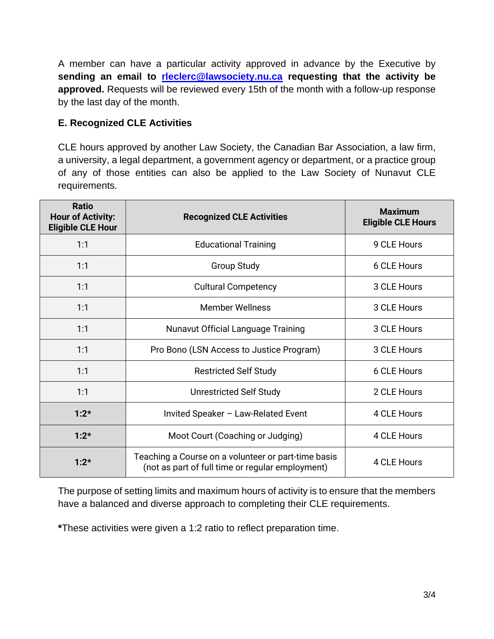A member can have a particular activity approved in advance by the Executive by **sending an email to [rleclerc@lawsociety.nu.ca](mailto:rleclerc@lawsociety.nu.ca) requesting that the activity be approved.** Requests will be reviewed every 15th of the month with a follow-up response by the last day of the month.

#### **E. Recognized CLE Activities**

CLE hours approved by another Law Society, the Canadian Bar Association, a law firm, a university, a legal department, a government agency or department, or a practice group of any of those entities can also be applied to the Law Society of Nunavut CLE requirements.

| <b>Ratio</b><br><b>Hour of Activity:</b><br><b>Eligible CLE Hour</b> | <b>Recognized CLE Activities</b>                                                                        | <b>Maximum</b><br><b>Eligible CLE Hours</b> |
|----------------------------------------------------------------------|---------------------------------------------------------------------------------------------------------|---------------------------------------------|
| 1:1                                                                  | <b>Educational Training</b>                                                                             | 9 CLE Hours                                 |
| 1:1                                                                  | <b>Group Study</b>                                                                                      | 6 CLE Hours                                 |
| 1:1                                                                  | <b>Cultural Competency</b>                                                                              | 3 CLE Hours                                 |
| 1:1                                                                  | <b>Member Wellness</b>                                                                                  | 3 CLE Hours                                 |
| 1:1                                                                  | Nunavut Official Language Training                                                                      | 3 CLE Hours                                 |
| 1:1                                                                  | Pro Bono (LSN Access to Justice Program)                                                                | 3 CLE Hours                                 |
| 1:1                                                                  | <b>Restricted Self Study</b>                                                                            | 6 CLE Hours                                 |
| 1:1                                                                  | <b>Unrestricted Self Study</b>                                                                          | 2 CLE Hours                                 |
| $1:2*$                                                               | Invited Speaker - Law-Related Event                                                                     | 4 CLE Hours                                 |
| $1:2*$                                                               | Moot Court (Coaching or Judging)                                                                        | 4 CLE Hours                                 |
| $1:2*$                                                               | Teaching a Course on a volunteer or part-time basis<br>(not as part of full time or regular employment) | 4 CLE Hours                                 |

The purpose of setting limits and maximum hours of activity is to ensure that the members have a balanced and diverse approach to completing their CLE requirements.

**\***These activities were given a 1:2 ratio to reflect preparation time.